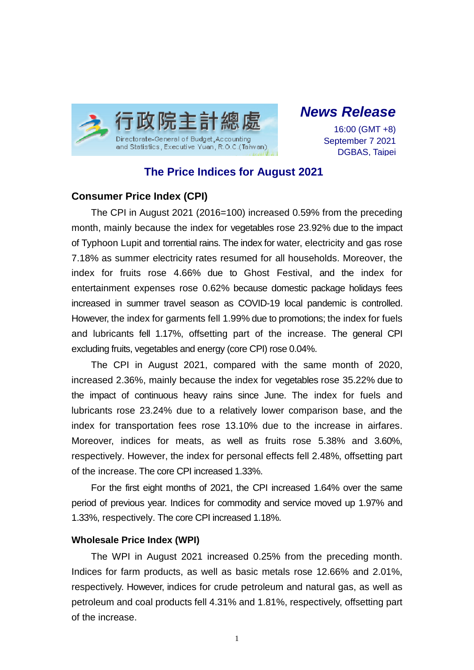

*News Release*

16:00 (GMT +8) September 7 2021 DGBAS, Taipei

# **The Price Indices for August 2021**

### **Consumer Price Index (CPI)**

The CPI in August 2021 (2016=100) increased 0.59% from the preceding month, mainly because the index for vegetables rose 23.92% due to the impact of Typhoon Lupit and torrential rains. The index for water, electricity and gas rose 7.18% as summer electricity rates resumed for all households. Moreover, the index for fruits rose 4.66% due to Ghost Festival, and the index for entertainment expenses rose 0.62% because domestic package holidays fees increased in summer travel season as COVID-19 local pandemic is controlled. However, the index for garments fell 1.99% due to promotions; the index for fuels and lubricants fell 1.17%, offsetting part of the increase. The general CPI excluding fruits, vegetables and energy (core CPI) rose 0.04%.

The CPI in August 2021, compared with the same month of 2020, increased 2.36%, mainly because the index for vegetables rose 35.22% due to the impact of continuous heavy rains since June. The index for fuels and lubricants rose 23.24% due to a relatively lower comparison base, and the index for transportation fees rose 13.10% due to the increase in airfares. Moreover, indices for meats, as well as fruits rose 5.38% and 3.60%, respectively. However, the index for personal effects fell 2.48%, offsetting part of the increase. The core CPI increased 1.33%.

For the first eight months of 2021, the CPI increased 1.64% over the same period of previous year. Indices for commodity and service moved up 1.97% and 1.33%, respectively. The core CPI increased 1.18%.

#### **Wholesale Price Index (WPI)**

The WPI in August 2021 increased 0.25% from the preceding month. Indices for farm products, as well as basic metals rose 12.66% and 2.01%, respectively. However, indices for crude petroleum and natural gas, as well as petroleum and coal products fell 4.31% and 1.81%, respectively, offsetting part of the increase.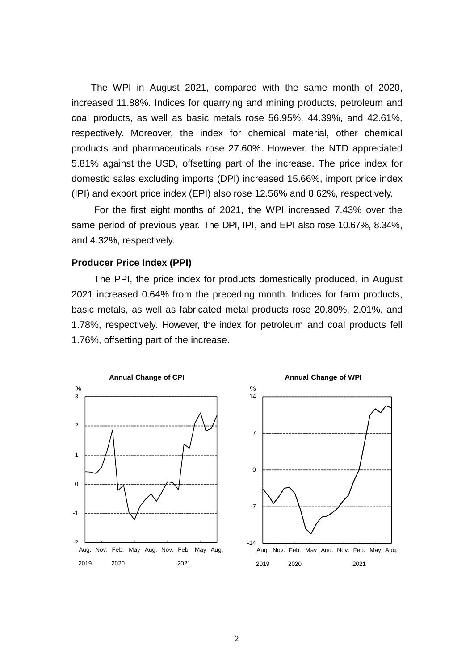The WPI in August 2021, compared with the same month of 2020, increased 11.88%. Indices for quarrying and mining products, petroleum and coal products, as well as basic metals rose 56.95%, 44.39%, and 42.61%, respectively. Moreover, the index for chemical material, other chemical products and pharmaceuticals rose 27.60%. However, the NTD appreciated 5.81% against the USD, offsetting part of the increase. The price index for domestic sales excluding imports (DPI) increased 15.66%, import price index (IPI) and export price index (EPI) also rose 12.56% and 8.62%, respectively.

For the first eight months of 2021, the WPI increased 7.43% over the same period of previous year. The DPI, IPI, and EPI also rose 10.67%, 8.34%, and 4.32%, respectively.

### **Producer Price Index (PPI)**

The PPI, the price index for products domestically produced, in August 2021 increased 0.64% from the preceding month. Indices for farm products, basic metals, as well as fabricated metal products rose 20.80%, 2.01%, and 1.78%, respectively. However, the index for petroleum and coal products fell 1.76%, offsetting part of the increase.